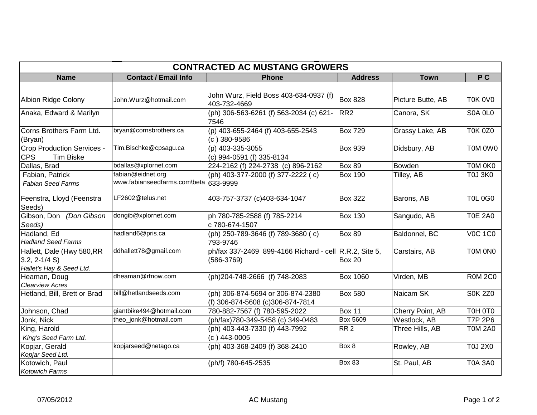| <b>CONTRACTED AC MUSTANG GROWERS</b>                                       |                                                            |                                                                        |                 |                   |                |  |  |  |  |
|----------------------------------------------------------------------------|------------------------------------------------------------|------------------------------------------------------------------------|-----------------|-------------------|----------------|--|--|--|--|
| <b>Name</b>                                                                | <b>Contact / Email Info</b>                                | <b>Phone</b>                                                           | <b>Address</b>  | <b>Town</b>       | P C            |  |  |  |  |
|                                                                            |                                                            |                                                                        |                 |                   |                |  |  |  |  |
| <b>Albion Ridge Colony</b>                                                 | John.Wurz@hotmail.com                                      | John Wurz, Field Boss 403-634-0937 (f)<br>403-732-4669                 | <b>Box 828</b>  | Picture Butte, AB | <b>T0K 0V0</b> |  |  |  |  |
| Anaka, Edward & Marilyn                                                    |                                                            | (ph) 306-563-6261 (f) 563-2034 (c) 621-<br>7546                        | RR <sub>2</sub> | Canora, SK        | S0A 0L0        |  |  |  |  |
| Corns Brothers Farm Ltd.<br>(Bryan)                                        | bryan@cornsbrothers.ca                                     | (p) 403-655-2464 (f) 403-655-2543<br>$(c)$ 380-9586                    | <b>Box 729</b>  | Grassy Lake, AB   | <b>T0K 0Z0</b> |  |  |  |  |
| Crop Production Services -<br><b>CPS</b><br><b>Tim Biske</b>               | Tim.Bischke@cpsagu.ca                                      | (p) 403-335-3055<br>(c) 994-0591 (f) 335-8134                          | <b>Box 939</b>  | Didsbury, AB      | T0M 0W0        |  |  |  |  |
| Dallas, Brad                                                               | bdallas@xplornet.com                                       | 224-2162 (f) 224-2738 (c) 896-2162                                     | <b>Box 89</b>   | <b>Bowden</b>     | T0M 0K0        |  |  |  |  |
| Fabian, Patrick<br><b>Fabian Seed Farms</b>                                | fabian@eidnet.org<br>www.fabianseedfarms.com\beta 633-9999 | (ph) 403-377-2000 (f) 377-2222 (c)                                     | <b>Box 190</b>  | Tilley, AB        | <b>T0J 3K0</b> |  |  |  |  |
| Feenstra, Lloyd (Feenstra<br>Seeds)                                        | LF2602@telus.net                                           | 403-757-3737 (c) 403-634-1047                                          | <b>Box 322</b>  | Barons, AB        | <b>T0L 0G0</b> |  |  |  |  |
| Gibson, Don (Don Gibson<br>Seeds)                                          | dongib@xplornet.com                                        | ph 780-785-2588 (f) 785-2214<br>c 780-674-1507                         | <b>Box 130</b>  | Sangudo, AB       | <b>T0E 2A0</b> |  |  |  |  |
| Hadland, Ed<br><b>Hadland Seed Farms</b>                                   | hadland6@pris.ca                                           | (ph) 250-789-3646 (f) 789-3680 (c)<br>793-9746                         | Box 89          | Baldonnel, BC     | <b>V0C 1C0</b> |  |  |  |  |
| Hallett, Dale (Hwy 580, RR<br>$3.2, 2 - 1/4 S$<br>Hallet's Hay & Seed Ltd. | ddhallett78@gmail.com                                      | ph/fax 337-2469 899-4166 Richard - cell R.R.2, Site 5,<br>$(586-3769)$ | <b>Box 20</b>   | Carstairs, AB     | TOM ONO        |  |  |  |  |
| Heaman, Doug<br><b>Clearview Acres</b>                                     | dheaman@rfnow.com                                          | (ph)204-748-2666 (f) 748-2083                                          | <b>Box 1060</b> | Virden, MB        | <b>R0M2C0</b>  |  |  |  |  |
| Hetland, Bill, Brett or Brad                                               | bill@hetlandseeds.com                                      | (ph) 306-874-5694 or 306-874-2380<br>(f) 306-874-5608 (c)306-874-7814  | <b>Box 580</b>  | Naicam SK         | <b>S0K 2Z0</b> |  |  |  |  |
| Johnson, Chad                                                              | giantbike494@hotmail.com                                   | 780-882-7567 (f) 780-595-2022                                          | <b>Box 11</b>   | Cherry Point, AB  | TOH OTO        |  |  |  |  |
| Jonk, Nick                                                                 | theo_jonk@hotmail.com                                      | (ph/fax)780-349-5458 (c) 349-0483                                      | <b>Box 5609</b> | Westlock, AB      | <b>T7P 2P6</b> |  |  |  |  |
| King, Harold<br>King's Seed Farm Ltd.                                      |                                                            | (ph) 403-443-7330 (f) 443-7992<br>$(c)$ 443-0005                       | RR <sub>2</sub> | Three Hills, AB   | <b>T0M 2A0</b> |  |  |  |  |
| Kopjar, Gerald<br>Kopjar Seed Ltd.                                         | kopjarseed@netago.ca                                       | (ph) 403-368-2409 (f) 368-2410                                         | Box 8           | Rowley, AB        | <b>T0J 2X0</b> |  |  |  |  |
| Kotowich, Paul<br><b>Kotowich Farms</b>                                    |                                                            | (ph/f) 780-645-2535                                                    | <b>Box 83</b>   | St. Paul, AB      | <b>T0A 3A0</b> |  |  |  |  |